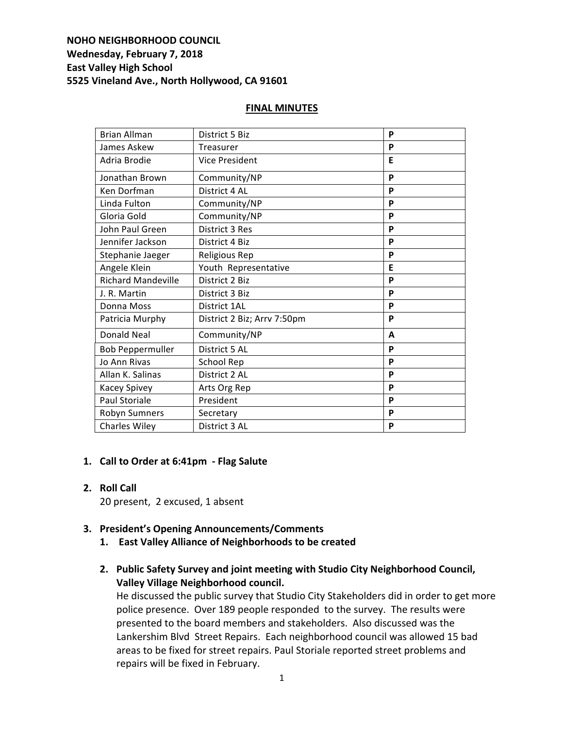# **NOHO NEIGHBORHOOD COUNCIL Wednesday, February 7, 2018 East Valley High School 5525 Vineland Ave., North Hollywood, CA 91601**

#### **FINAL MINUTES**

| <b>Brian Allman</b>       | District 5 Biz              | P |
|---------------------------|-----------------------------|---|
| James Askew               | <b>Treasurer</b>            | P |
| Adria Brodie              | <b>Vice President</b>       | E |
| Jonathan Brown            | Community/NP                | P |
| Ken Dorfman               | District 4 AL               | P |
| Linda Fulton              | Community/NP                | P |
| Gloria Gold               | Community/NP                | P |
| John Paul Green           | District 3 Res              | P |
| Jennifer Jackson          | District 4 Biz              | P |
| Stephanie Jaeger          | <b>Religious Rep</b>        | P |
| Angele Klein              | Youth Representative        | E |
| <b>Richard Mandeville</b> | District 2 Biz              | P |
| J. R. Martin              | District 3 Biz              | P |
| Donna Moss                | District 1AL                | P |
| Patricia Murphy           | District 2 Biz; Arrv 7:50pm | P |
| <b>Donald Neal</b>        | Community/NP                | A |
| <b>Bob Peppermuller</b>   | District 5 AL               | P |
| Jo Ann Rivas              | School Rep                  | P |
| Allan K. Salinas          | District 2 AL               | P |
| Kacey Spivey              | Arts Org Rep                | P |
| <b>Paul Storiale</b>      | President                   | P |
| Robyn Sumners             | Secretary                   | P |
| <b>Charles Wiley</b>      | District 3 AL               | P |

### 1. **Call to Order at 6:41pm** - Flag Salute

**2. Roll Call**  

20 present, 2 excused, 1 absent

### **3. President's Opening Announcements/Comments**

- 1. **East Valley Alliance of Neighborhoods to be created**
- 2. Public Safety Survey and joint meeting with Studio City Neighborhood Council, **Valley Village Neighborhood council.**

He discussed the public survey that Studio City Stakeholders did in order to get more police presence. Over 189 people responded to the survey. The results were presented to the board members and stakeholders. Also discussed was the Lankershim Blvd Street Repairs. Each neighborhood council was allowed 15 bad areas to be fixed for street repairs. Paul Storiale reported street problems and repairs will be fixed in February.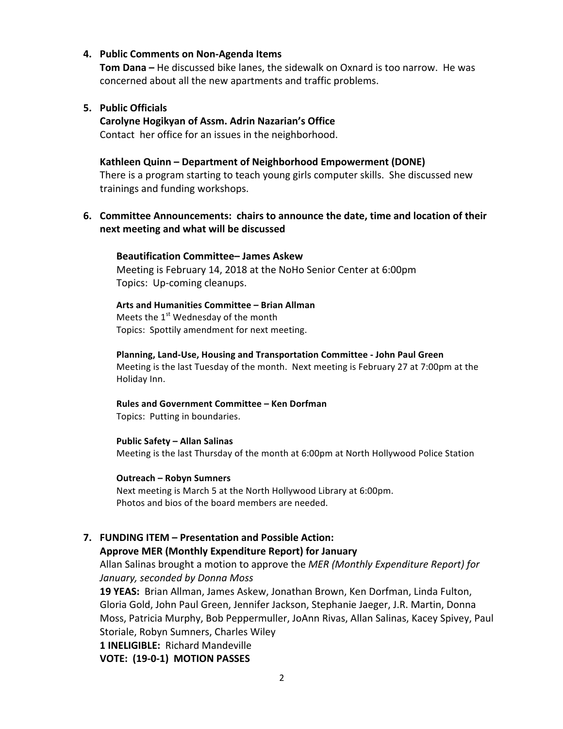#### **4.** Public Comments on Non-Agenda Items

**Tom Dana** – He discussed bike lanes, the sidewalk on Oxnard is too narrow. He was concerned about all the new apartments and traffic problems.

### **5. Public Officials**

**Carolyne Hogikyan of Assm. Adrin Nazarian's Office** Contact her office for an issues in the neighborhood.

# Kathleen Quinn - Department of Neighborhood Empowerment (DONE)

There is a program starting to teach young girls computer skills. She discussed new trainings and funding workshops.

## **6.** Committee Announcements: chairs to announce the date, time and location of their **next meeting and what will be discussed**

#### **Beautification Committee– James Askew**

Meeting is February 14, 2018 at the NoHo Senior Center at 6:00pm Topics: Up-coming cleanups.

#### **Arts and Humanities Committee – Brian Allman**

Meets the  $1<sup>st</sup>$  Wednesday of the month Topics: Spottily amendment for next meeting.

#### **Planning, Land-Use, Housing and Transportation Committee - John Paul Green**

Meeting is the last Tuesday of the month. Next meeting is February 27 at 7:00pm at the Holiday Inn.

# **Rules and Government Committee – Ken Dorfman**

Topics: Putting in boundaries.

# **Public Safety – Allan Salinas** Meeting is the last Thursday of the month at 6:00pm at North Hollywood Police Station

**Outreach – Robyn Sumners**  Next meeting is March 5 at the North Hollywood Library at 6:00pm. Photos and bios of the board members are needed.

# **7. FUNDING ITEM – Presentation and Possible Action: Approve MER (Monthly Expenditure Report) for January**

Allan Salinas brought a motion to approve the *MER (Monthly Expenditure Report)* for *January, seconded by Donna Moss*

**19 YEAS:** Brian Allman, James Askew, Jonathan Brown, Ken Dorfman, Linda Fulton, Gloria Gold, John Paul Green, Jennifer Jackson, Stephanie Jaeger, J.R. Martin, Donna Moss, Patricia Murphy, Bob Peppermuller, JoAnn Rivas, Allan Salinas, Kacey Spivey, Paul Storiale, Robyn Sumners, Charles Wiley

**1 INELIGIBLE:** Richard Mandeville

**VOTE: (19-0-1) MOTION PASSES**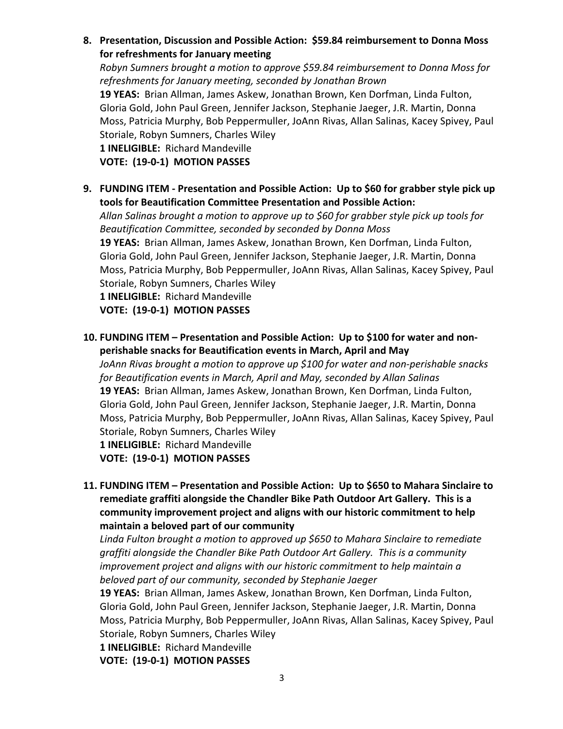8. Presentation, Discussion and Possible Action: \$59.84 reimbursement to Donna Moss for refreshments for January meeting

*Robyn Sumners brought a motion to approve \$59.84 reimbursement to Donna Moss for* refreshments for January meeting, seconded by Jonathan Brown

19 YEAS: Brian Allman, James Askew, Jonathan Brown, Ken Dorfman, Linda Fulton, Gloria Gold, John Paul Green, Jennifer Jackson, Stephanie Jaeger, J.R. Martin, Donna Moss, Patricia Murphy, Bob Peppermuller, JoAnn Rivas, Allan Salinas, Kacey Spivey, Paul Storiale, Robyn Sumners, Charles Wiley

**1 INELIGIBLE:** Richard Mandeville

**VOTE: (19-0-1) MOTION PASSES** 

9. FUNDING ITEM - Presentation and Possible Action: Up to \$60 for grabber style pick up **tools for Beautification Committee Presentation and Possible Action:** 

Allan Salinas brought a motion to approve up to \$60 for grabber style pick up tools for *Beautification Committee, seconded by seconded by Donna Moss* 19 YEAS: Brian Allman, James Askew, Jonathan Brown, Ken Dorfman, Linda Fulton, Gloria Gold, John Paul Green, Jennifer Jackson, Stephanie Jaeger, J.R. Martin, Donna Moss, Patricia Murphy, Bob Peppermuller, JoAnn Rivas, Allan Salinas, Kacey Spivey, Paul Storiale, Robyn Sumners, Charles Wiley

**1 INELIGIBLE:** Richard Mandeville **VOTE: (19-0-1) MOTION PASSES** 

**10. FUNDING ITEM – Presentation and Possible Action: Up to \$100 for water and non**perishable snacks for Beautification events in March, April and May

*JoAnn Rivas brought a motion to approve up* \$100 for water and non-perishable snacks for Beautification events in March, April and May, seconded by Allan Salinas **19 YEAS:** Brian Allman, James Askew, Jonathan Brown, Ken Dorfman, Linda Fulton, Gloria Gold, John Paul Green, Jennifer Jackson, Stephanie Jaeger, J.R. Martin, Donna Moss, Patricia Murphy, Bob Peppermuller, JoAnn Rivas, Allan Salinas, Kacey Spivey, Paul Storiale, Robyn Sumners, Charles Wiley

**1 INELIGIBLE:** Richard Mandeville **VOTE: (19-0-1) MOTION PASSES** 

11. **FUNDING ITEM** – Presentation and Possible Action: Up to \$650 to Mahara Sinclaire to remediate graffiti alongside the Chandler Bike Path Outdoor Art Gallery. This is a community improvement project and aligns with our historic commitment to help **maintain a beloved part of our community** 

Linda Fulton brought a motion to approved up \$650 to Mahara Sinclaire to remediate *graffiti alongside the Chandler Bike Path Outdoor Art Gallery. This is a community improvement project and aligns with our historic commitment to help maintain a beloved part of our community, seconded by Stephanie Jaeger*

**19 YEAS:** Brian Allman, James Askew, Jonathan Brown, Ken Dorfman, Linda Fulton, Gloria Gold, John Paul Green, Jennifer Jackson, Stephanie Jaeger, J.R. Martin, Donna Moss, Patricia Murphy, Bob Peppermuller, JoAnn Rivas, Allan Salinas, Kacey Spivey, Paul Storiale, Robyn Sumners, Charles Wiley

**1 INELIGIBLE:** Richard Mandeville

**VOTE: (19-0-1) MOTION PASSES**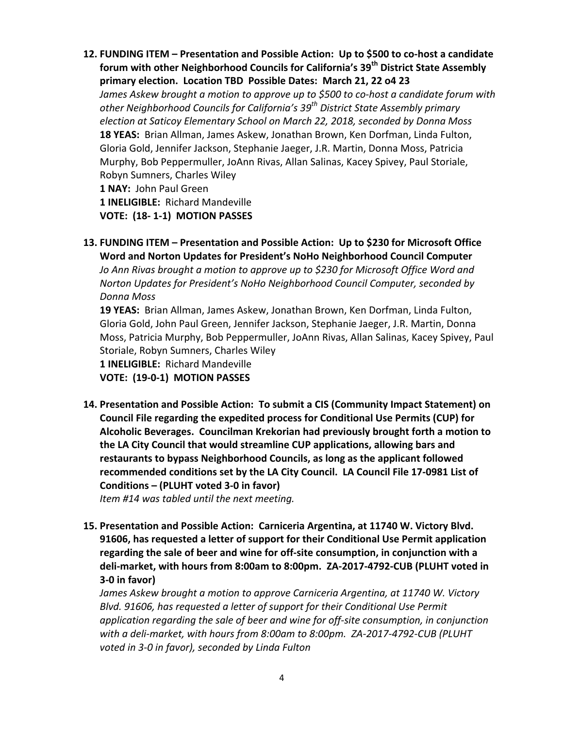**12. FUNDING ITEM** – Presentation and Possible Action: Up to \$500 to co-host a candidate **forum with other Neighborhood Councils for California's 39<sup>th</sup> District State Assembly** primary election. Location TBD Possible Dates: March 21, 22 o4 23 *James Askew brought a motion to approve up to \$500 to co-host a candidate forum with* other Neighborhood Councils for California's 39<sup>th</sup> District State Assembly primary *election at Saticoy Elementary School on March 22, 2018, seconded by Donna Moss* **18 YEAS:** Brian Allman, James Askew, Jonathan Brown, Ken Dorfman, Linda Fulton, Gloria Gold, Jennifer Jackson, Stephanie Jaeger, J.R. Martin, Donna Moss, Patricia Murphy, Bob Peppermuller, JoAnn Rivas, Allan Salinas, Kacey Spivey, Paul Storiale, Robyn Sumners, Charles Wiley 1 NAY: John Paul Green **1 INELIGIBLE:** Richard Mandeville

**VOTE: (18- 1-1) MOTION PASSES**

13. FUNDING ITEM - Presentation and Possible Action: Up to \$230 for Microsoft Office **Word and Norton Updates for President's NoHo Neighborhood Council Computer** *Jo* Ann Rivas brought a motion to approve up to \$230 for Microsoft Office Word and *Norton Updates for President's NoHo Neighborhood Council Computer, seconded by Donna Moss*

**19 YEAS:** Brian Allman, James Askew, Jonathan Brown, Ken Dorfman, Linda Fulton, Gloria Gold, John Paul Green, Jennifer Jackson, Stephanie Jaeger, J.R. Martin, Donna Moss, Patricia Murphy, Bob Peppermuller, JoAnn Rivas, Allan Salinas, Kacey Spivey, Paul Storiale, Robyn Sumners, Charles Wiley

**1 INELIGIBLE: Richard Mandeville** 

**VOTE: (19-0-1) MOTION PASSES** 

14. Presentation and Possible Action: To submit a CIS (Community Impact Statement) on **Council File regarding the expedited process for Conditional Use Permits (CUP) for** Alcoholic Beverages. Councilman Krekorian had previously brought forth a motion to the LA City Council that would streamline CUP applications, allowing bars and restaurants to bypass Neighborhood Councils, as long as the applicant followed recommended conditions set by the LA City Council. LA Council File 17-0981 List of **Conditions – (PLUHT voted 3-0 in favor)** 

*Item #14* was tabled until the next meeting.

15. Presentation and Possible Action: Carniceria Argentina, at 11740 W. Victory Blvd. **91606, has requested a letter of support for their Conditional Use Permit application** regarding the sale of beer and wine for off-site consumption, in conjunction with a deli-market, with hours from 8:00am to 8:00pm. ZA-2017-4792-CUB (PLUHT voted in **3-0 in favor)**

*James Askew brought a motion to approve Carniceria Argentina, at 11740 W. Victory* Blvd. 91606, has requested a letter of support for their Conditional Use Permit application regarding the sale of beer and wine for off-site consumption, in conjunction with a deli-market, with hours from 8:00am to 8:00pm. ZA-2017-4792-CUB (PLUHT voted in 3-0 in favor), seconded by Linda Fulton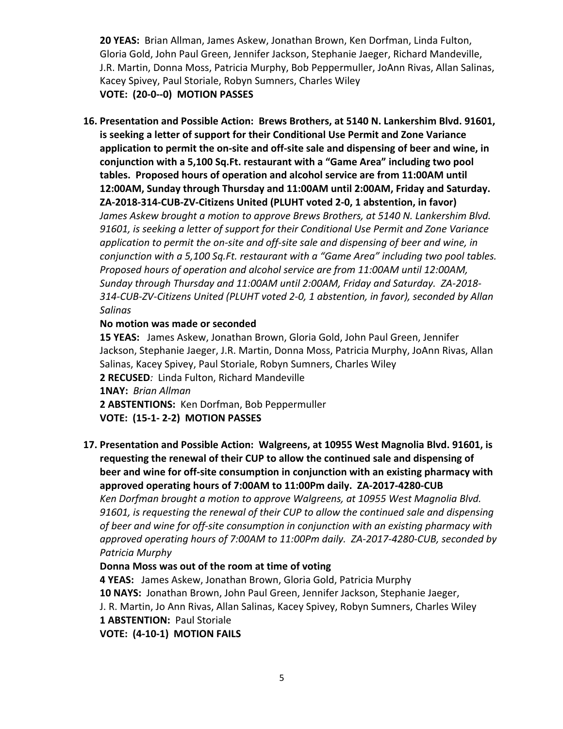**20 YEAS:** Brian Allman, James Askew, Jonathan Brown, Ken Dorfman, Linda Fulton, Gloria Gold, John Paul Green, Jennifer Jackson, Stephanie Jaeger, Richard Mandeville, J.R. Martin, Donna Moss, Patricia Murphy, Bob Peppermuller, JoAnn Rivas, Allan Salinas, Kacey Spivey, Paul Storiale, Robyn Sumners, Charles Wiley **VOTE: (20-0--0) MOTION PASSES** 

16. Presentation and Possible Action: Brews Brothers, at 5140 N. Lankershim Blvd. 91601, **is seeking a letter of support for their Conditional Use Permit and Zone Variance** application to permit the on-site and off-site sale and dispensing of beer and wine, in conjunction with a 5,100 Sq.Ft. restaurant with a "Game Area" including two pool tables. Proposed hours of operation and alcohol service are from 11:00AM until 12:00AM, Sunday through Thursday and 11:00AM until 2:00AM, Friday and Saturday. ZA-2018-314-CUB-ZV-Citizens United (PLUHT voted 2-0, 1 abstention, in favor) James Askew brought a motion to approve Brews Brothers, at 5140 N. Lankershim Blvd. 91601, is seeking a letter of support for their Conditional Use Permit and Zone Variance application to permit the on-site and off-site sale and dispensing of beer and wine, in *conjunction with a 5,100 Sq.Ft. restaurant with a "Game Area" including two pool tables. Proposed hours of operation and alcohol service are from 11:00AM until 12:00AM,* Sunday through Thursday and 11:00AM until 2:00AM, Friday and Saturday. ZA-2018-314-CUB-ZV-Citizens United (PLUHT voted 2-0, 1 abstention, in favor), seconded by Allan *Salinas*

### **No motion was made or seconded**

**15 YEAS:** James Askew, Jonathan Brown, Gloria Gold, John Paul Green, Jennifer Jackson, Stephanie Jaeger, J.R. Martin, Donna Moss, Patricia Murphy, JoAnn Rivas, Allan Salinas, Kacey Spivey, Paul Storiale, Robyn Sumners, Charles Wiley **2 RECUSED**: Linda Fulton, Richard Mandeville **1NAY:** *Brian Allman* 2 ABSTENTIONS: Ken Dorfman, Bob Peppermuller **VOTE: (15-1- 2-2) MOTION PASSES**

17. Presentation and Possible Action: Walgreens, at 10955 West Magnolia Blvd. 91601, is requesting the renewal of their CUP to allow the continued sale and dispensing of **beer and wine for off-site consumption in conjunction with an existing pharmacy with** approved operating hours of 7:00AM to 11:00Pm daily. ZA-2017-4280-CUB

Ken Dorfman brought a motion to approve Walgreens, at 10955 West Magnolia Blvd. 91601, is requesting the renewal of their CUP to allow the continued sale and dispensing of beer and wine for off-site consumption in conjunction with an existing pharmacy with approved operating hours of 7:00AM to 11:00Pm daily. ZA-2017-4280-CUB, seconded by *Patricia Murphy*

# Donna Moss was out of the room at time of voting

**4 YEAS:** James Askew, Jonathan Brown, Gloria Gold, Patricia Murphy **10 NAYS:** Jonathan Brown, John Paul Green, Jennifer Jackson, Stephanie Jaeger, J. R. Martin, Jo Ann Rivas, Allan Salinas, Kacey Spivey, Robyn Sumners, Charles Wiley 1 **ABSTENTION:** Paul Storiale **VOTE: (4-10-1) MOTION FAILS**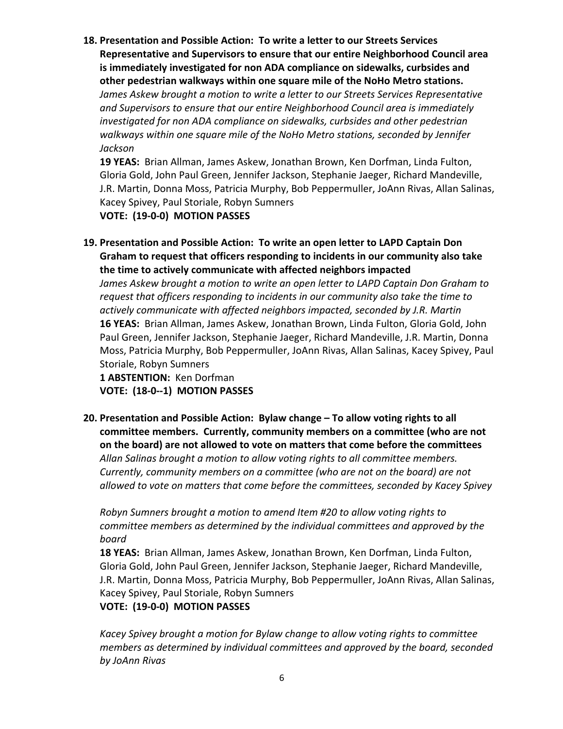**18. Presentation and Possible Action: To write a letter to our Streets Services Representative and Supervisors to ensure that our entire Neighborhood Council area** is immediately investigated for non ADA compliance on sidewalks, curbsides and other pedestrian walkways within one square mile of the NoHo Metro stations.

James Askew brought a motion to write a letter to our Streets Services Representative and Supervisors to ensure that our entire Neighborhood Council area is immediately *investigated for non ADA compliance on sidewalks, curbsides and other pedestrian* walkways within one square mile of the NoHo Metro stations, seconded by Jennifer *Jackson*

**19 YEAS:** Brian Allman, James Askew, Jonathan Brown, Ken Dorfman, Linda Fulton, Gloria Gold, John Paul Green, Jennifer Jackson, Stephanie Jaeger, Richard Mandeville, J.R. Martin, Donna Moss, Patricia Murphy, Bob Peppermuller, JoAnn Rivas, Allan Salinas, Kacey Spivey, Paul Storiale, Robyn Sumners

**VOTE: (19-0-0) MOTION PASSES** 

19. Presentation and Possible Action: To write an open letter to LAPD Captain Don Graham to request that officers responding to incidents in our community also take the time to actively communicate with affected neighbors impacted

James Askew brought a motion to write an open letter to LAPD Captain Don Graham to *request that officers responding to incidents in our community also take the time to actively communicate with affected neighbors impacted, seconded by J.R. Martin* 16 YEAS: Brian Allman, James Askew, Jonathan Brown, Linda Fulton, Gloria Gold, John Paul Green, Jennifer Jackson, Stephanie Jaeger, Richard Mandeville, J.R. Martin, Donna Moss, Patricia Murphy, Bob Peppermuller, JoAnn Rivas, Allan Salinas, Kacey Spivey, Paul Storiale, Robyn Sumners

1 **ABSTENTION:** Ken Dorfman

**VOTE: (18-0--1) MOTION PASSES** 

**20.** Presentation and Possible Action: Bylaw change – To allow voting rights to all committee members. Currently, community members on a committee (who are not on the board) are not allowed to vote on matters that come before the committees Allan Salinas brought a motion to allow voting rights to all committee members. *Currently, community members* on a committee (who are not on the board) are not allowed to vote on matters that come before the committees, seconded by Kacey Spivey

*Robyn Sumners brought a motion to amend Item #20 to allow voting rights to committee members as determined by the individual committees and approved by the board*

**18 YEAS:** Brian Allman, James Askew, Jonathan Brown, Ken Dorfman, Linda Fulton, Gloria Gold, John Paul Green, Jennifer Jackson, Stephanie Jaeger, Richard Mandeville, J.R. Martin, Donna Moss, Patricia Murphy, Bob Peppermuller, JoAnn Rivas, Allan Salinas, Kacey Spivey, Paul Storiale, Robyn Sumners

### **VOTE: (19-0-0) MOTION PASSES**

Kacey Spivey brought a motion for Bylaw change to allow voting rights to committee *members as determined by individual committees and approved by the board, seconded by JoAnn Rivas*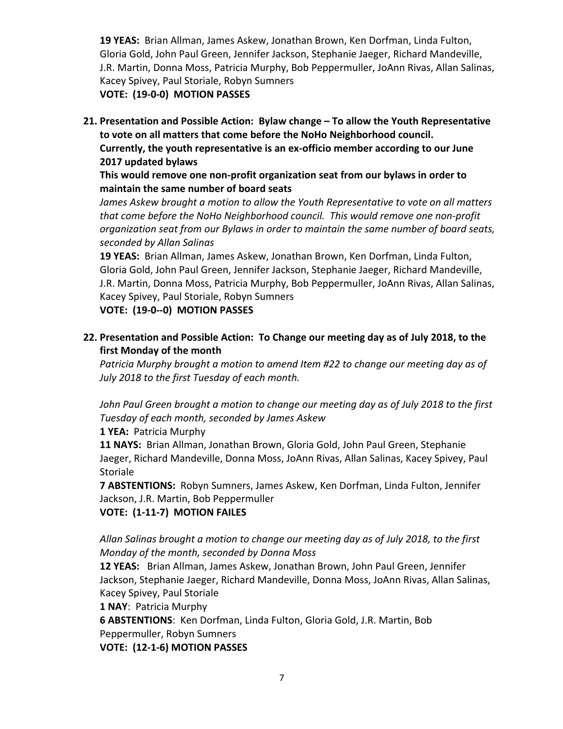**19 YEAS:** Brian Allman, James Askew, Jonathan Brown, Ken Dorfman, Linda Fulton, Gloria Gold, John Paul Green, Jennifer Jackson, Stephanie Jaeger, Richard Mandeville, J.R. Martin, Donna Moss, Patricia Murphy, Bob Peppermuller, JoAnn Rivas, Allan Salinas, Kacey Spivey, Paul Storiale, Robyn Sumners

**VOTE: (19-0-0) MOTION PASSES** 

**21. Presentation and Possible Action: Bylaw change – To allow the Youth Representative** to vote on all matters that come before the NoHo Neighborhood council. **Currently, the youth representative is an ex-officio member according to our June 2017 updated bylaws**

**This would remove one non-profit organization seat from our bylaws in order to maintain the same number of board seats** 

James Askew brought a motion to allow the Youth Representative to vote on all matters *that come before the NoHo Neighborhood council. This would remove one non-profit* organization seat from our Bylaws in order to maintain the same number of board seats, *seconded by Allan Salinas*

**19 YEAS:** Brian Allman, James Askew, Jonathan Brown, Ken Dorfman, Linda Fulton, Gloria Gold, John Paul Green, Jennifer Jackson, Stephanie Jaeger, Richard Mandeville, J.R. Martin, Donna Moss, Patricia Murphy, Bob Peppermuller, JoAnn Rivas, Allan Salinas, Kacey Spivey, Paul Storiale, Robyn Sumners

**VOTE: (19-0--0) MOTION PASSES** 

**22. Presentation and Possible Action: To Change our meeting day as of July 2018, to the first Monday of the month** 

Patricia Murphy brought a motion to amend Item #22 to change our meeting day as of July 2018 to the first Tuesday of each month.

John Paul Green brought a motion to change our meeting day as of July 2018 to the first *Tuesday of each month, seconded by James Askew*

**1 YEA: Patricia Murphy** 

**11 NAYS:** Brian Allman, Jonathan Brown, Gloria Gold, John Paul Green, Stephanie Jaeger, Richard Mandeville, Donna Moss, JoAnn Rivas, Allan Salinas, Kacey Spivey, Paul Storiale

**7 ABSTENTIONS:** Robyn Sumners, James Askew, Ken Dorfman, Linda Fulton, Jennifer Jackson, J.R. Martin, Bob Peppermuller

**VOTE: (1-11-7) MOTION FAILES** 

Allan Salinas brought a motion to change our meeting day as of July 2018, to the first *Monday of the month, seconded by Donna Moss* 

**12 YEAS:** Brian Allman, James Askew, Jonathan Brown, John Paul Green, Jennifer Jackson, Stephanie Jaeger, Richard Mandeville, Donna Moss, JoAnn Rivas, Allan Salinas, Kacey Spivey, Paul Storiale

#### **1 NAY: Patricia Murphy**

**6 ABSTENTIONS:** Ken Dorfman, Linda Fulton, Gloria Gold, J.R. Martin, Bob Peppermuller, Robyn Sumners

**VOTE: (12-1-6) MOTION PASSES**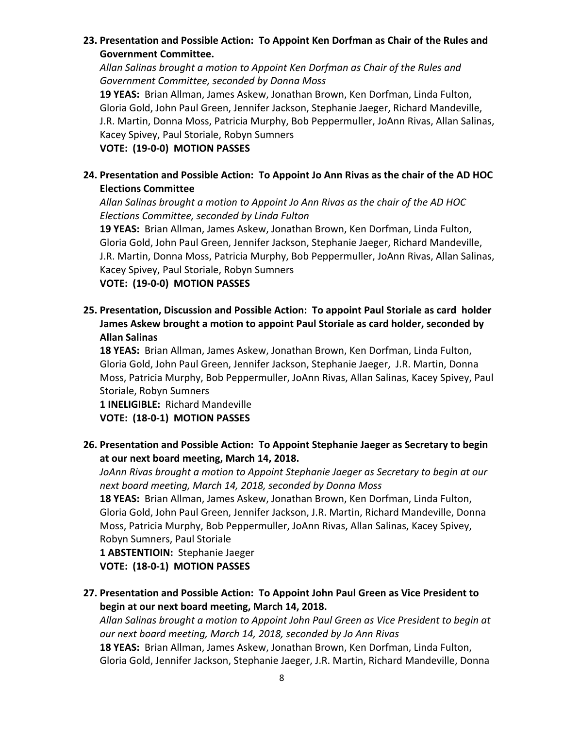# 23. Presentation and Possible Action: To Appoint Ken Dorfman as Chair of the Rules and **Government Committee.**

Allan Salinas brought a motion to Appoint Ken Dorfman as Chair of the Rules and Government Committee, seconded by Donna Moss

**19 YEAS:** Brian Allman, James Askew, Jonathan Brown, Ken Dorfman, Linda Fulton, Gloria Gold, John Paul Green, Jennifer Jackson, Stephanie Jaeger, Richard Mandeville, J.R. Martin, Donna Moss, Patricia Murphy, Bob Peppermuller, JoAnn Rivas, Allan Salinas, Kacey Spivey, Paul Storiale, Robyn Sumners

# **VOTE: (19-0-0) MOTION PASSES**

# **24.** Presentation and Possible Action: To Appoint Jo Ann Rivas as the chair of the AD HOC **Elections Committee**

Allan Salinas brought a motion to Appoint Jo Ann Rivas as the chair of the AD HOC *Elections Committee, seconded by Linda Fulton*

19 YEAS: Brian Allman, James Askew, Jonathan Brown, Ken Dorfman, Linda Fulton, Gloria Gold, John Paul Green, Jennifer Jackson, Stephanie Jaeger, Richard Mandeville, J.R. Martin, Donna Moss, Patricia Murphy, Bob Peppermuller, JoAnn Rivas, Allan Salinas, Kacey Spivey, Paul Storiale, Robyn Sumners

**VOTE: (19-0-0) MOTION PASSES** 

**25. Presentation, Discussion and Possible Action: To appoint Paul Storiale as card holder** James Askew brought a motion to appoint Paul Storiale as card holder, seconded by **Allan Salinas**

**18 YEAS:** Brian Allman, James Askew, Jonathan Brown, Ken Dorfman, Linda Fulton, Gloria Gold, John Paul Green, Jennifer Jackson, Stephanie Jaeger, J.R. Martin, Donna Moss, Patricia Murphy, Bob Peppermuller, JoAnn Rivas, Allan Salinas, Kacey Spivey, Paul Storiale, Robyn Sumners

**1 INELIGIBLE:** Richard Mandeville

**VOTE: (18-0-1) MOTION PASSES** 

26. Presentation and Possible Action: To Appoint Stephanie Jaeger as Secretary to begin at our next board meeting, March 14, 2018.

JoAnn Rivas brought a motion to Appoint Stephanie Jaeger as Secretary to begin at our next board meeting, March 14, 2018, seconded by Donna Moss

**18 YEAS:** Brian Allman, James Askew, Jonathan Brown, Ken Dorfman, Linda Fulton, Gloria Gold, John Paul Green, Jennifer Jackson, J.R. Martin, Richard Mandeville, Donna Moss, Patricia Murphy, Bob Peppermuller, JoAnn Rivas, Allan Salinas, Kacey Spivey, Robyn Sumners, Paul Storiale

1 **ABSTENTIOIN:** Stephanie Jaeger **VOTE: (18-0-1) MOTION PASSES** 

**27.** Presentation and Possible Action: To Appoint John Paul Green as Vice President to begin at our next board meeting, March 14, 2018.

Allan Salinas brought a motion to Appoint John Paul Green as Vice President to begin at *our next board meeting, March 14, 2018, seconded by Jo Ann Rivas*

**18 YEAS:** Brian Allman, James Askew, Jonathan Brown, Ken Dorfman, Linda Fulton, Gloria Gold, Jennifer Jackson, Stephanie Jaeger, J.R. Martin, Richard Mandeville, Donna